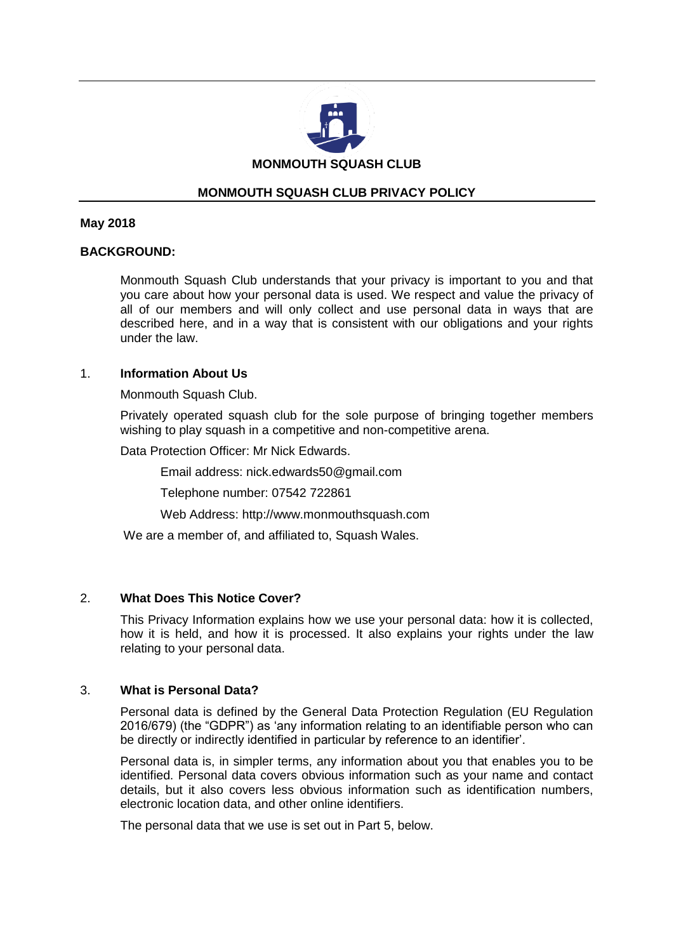

# **MONMOUTH SQUASH CLUB PRIVACY POLICY**

#### **May 2018**

## **BACKGROUND:**

Monmouth Squash Club understands that your privacy is important to you and that you care about how your personal data is used. We respect and value the privacy of all of our members and will only collect and use personal data in ways that are described here, and in a way that is consistent with our obligations and your rights under the law.

#### 1. **Information About Us**

Monmouth Squash Club.

Privately operated squash club for the sole purpose of bringing together members wishing to play squash in a competitive and non-competitive arena.

Data Protection Officer: Mr Nick Edwards.

Email address: nick.edwards50@gmail.com

Telephone number: 07542 722861

Web Address: http://www.monmouthsquash.com

We are a member of, and affiliated to, Squash Wales.

## 2. **What Does This Notice Cover?**

This Privacy Information explains how we use your personal data: how it is collected, how it is held, and how it is processed. It also explains your rights under the law relating to your personal data.

## 3. **What is Personal Data?**

Personal data is defined by the General Data Protection Regulation (EU Regulation 2016/679) (the "GDPR") as 'any information relating to an identifiable person who can be directly or indirectly identified in particular by reference to an identifier'.

Personal data is, in simpler terms, any information about you that enables you to be identified. Personal data covers obvious information such as your name and contact details, but it also covers less obvious information such as identification numbers, electronic location data, and other online identifiers.

The personal data that we use is set out in Part 5, below.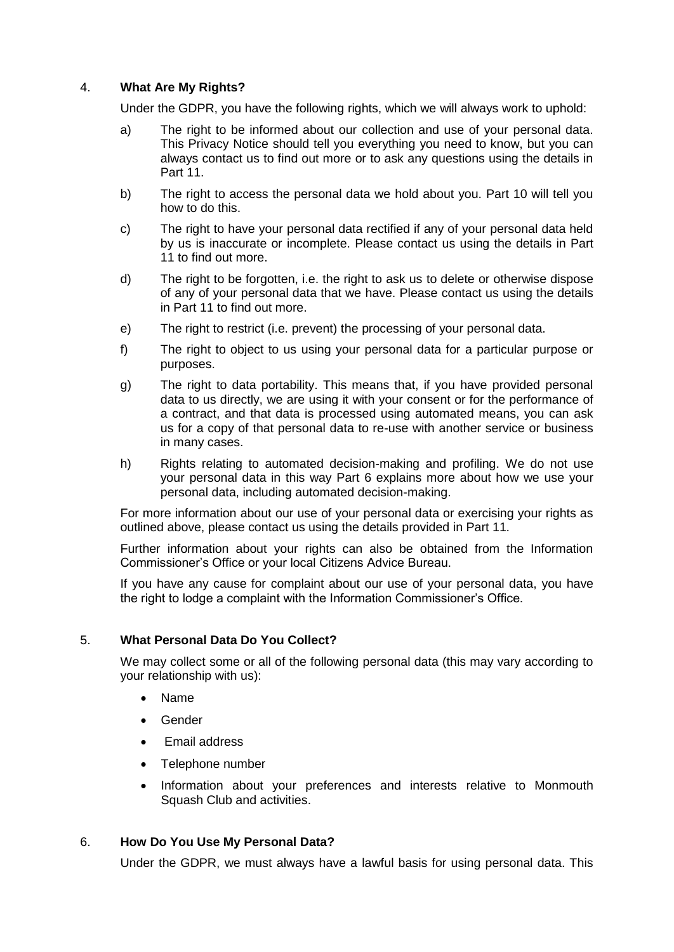# 4. **What Are My Rights?**

Under the GDPR, you have the following rights, which we will always work to uphold:

- a) The right to be informed about our collection and use of your personal data. This Privacy Notice should tell you everything you need to know, but you can always contact us to find out more or to ask any questions using the details in Part 11.
- b) The right to access the personal data we hold about you. Part 10 will tell you how to do this.
- c) The right to have your personal data rectified if any of your personal data held by us is inaccurate or incomplete. Please contact us using the details in Part 11 to find out more.
- d) The right to be forgotten, i.e. the right to ask us to delete or otherwise dispose of any of your personal data that we have. Please contact us using the details in Part 11 to find out more.
- e) The right to restrict (i.e. prevent) the processing of your personal data.
- f) The right to object to us using your personal data for a particular purpose or purposes.
- g) The right to data portability. This means that, if you have provided personal data to us directly, we are using it with your consent or for the performance of a contract, and that data is processed using automated means, you can ask us for a copy of that personal data to re-use with another service or business in many cases.
- h) Rights relating to automated decision-making and profiling. We do not use your personal data in this way Part 6 explains more about how we use your personal data, including automated decision-making.

For more information about our use of your personal data or exercising your rights as outlined above, please contact us using the details provided in Part 11.

Further information about your rights can also be obtained from the Information Commissioner's Office or your local Citizens Advice Bureau.

If you have any cause for complaint about our use of your personal data, you have the right to lodge a complaint with the Information Commissioner's Office.

## 5. **What Personal Data Do You Collect?**

We may collect some or all of the following personal data (this may vary according to your relationship with us):

- Name
- Gender
- Email address
- Telephone number
- Information about your preferences and interests relative to Monmouth Squash Club and activities.

## 6. **How Do You Use My Personal Data?**

Under the GDPR, we must always have a lawful basis for using personal data. This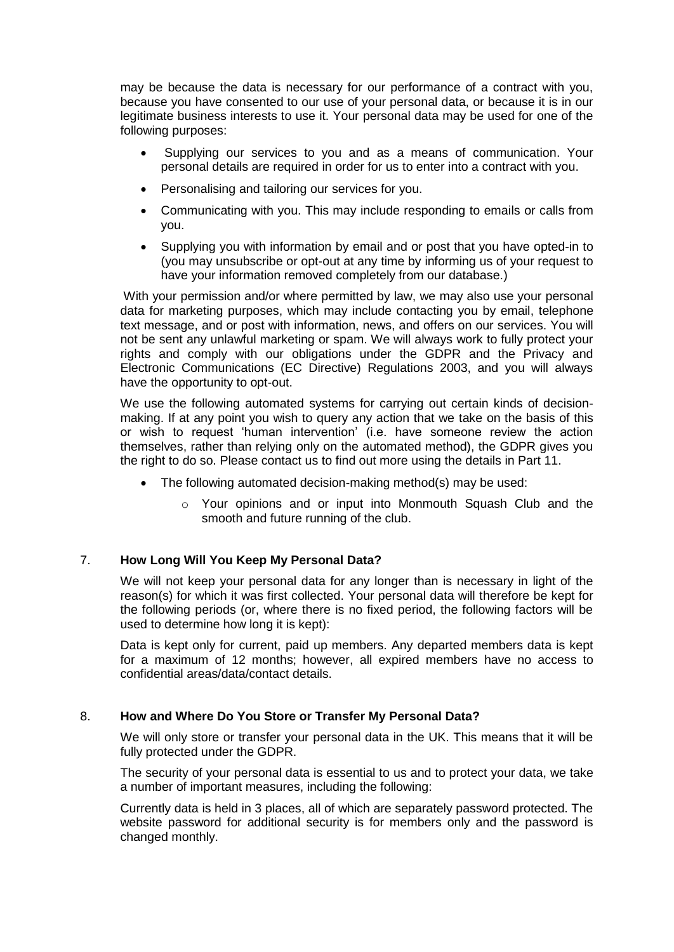may be because the data is necessary for our performance of a contract with you, because you have consented to our use of your personal data, or because it is in our legitimate business interests to use it. Your personal data may be used for one of the following purposes:

- Supplying our services to you and as a means of communication. Your personal details are required in order for us to enter into a contract with you.
- Personalising and tailoring our services for you.
- Communicating with you. This may include responding to emails or calls from you.
- Supplying you with information by email and or post that you have opted-in to (you may unsubscribe or opt-out at any time by informing us of your request to have your information removed completely from our database.)

With your permission and/or where permitted by law, we may also use your personal data for marketing purposes, which may include contacting you by email, telephone text message, and or post with information, news, and offers on our services. You will not be sent any unlawful marketing or spam. We will always work to fully protect your rights and comply with our obligations under the GDPR and the Privacy and Electronic Communications (EC Directive) Regulations 2003, and you will always have the opportunity to opt-out.

We use the following automated systems for carrying out certain kinds of decisionmaking. If at any point you wish to query any action that we take on the basis of this or wish to request 'human intervention' (i.e. have someone review the action themselves, rather than relying only on the automated method), the GDPR gives you the right to do so. Please contact us to find out more using the details in Part 11.

- The following automated decision-making method(s) may be used:
	- o Your opinions and or input into Monmouth Squash Club and the smooth and future running of the club.

## 7. **How Long Will You Keep My Personal Data?**

We will not keep your personal data for any longer than is necessary in light of the reason(s) for which it was first collected. Your personal data will therefore be kept for the following periods (or, where there is no fixed period, the following factors will be used to determine how long it is kept):

Data is kept only for current, paid up members. Any departed members data is kept for a maximum of 12 months; however, all expired members have no access to confidential areas/data/contact details.

## 8. **How and Where Do You Store or Transfer My Personal Data?**

We will only store or transfer your personal data in the UK. This means that it will be fully protected under the GDPR.

The security of your personal data is essential to us and to protect your data, we take a number of important measures, including the following:

Currently data is held in 3 places, all of which are separately password protected. The website password for additional security is for members only and the password is changed monthly.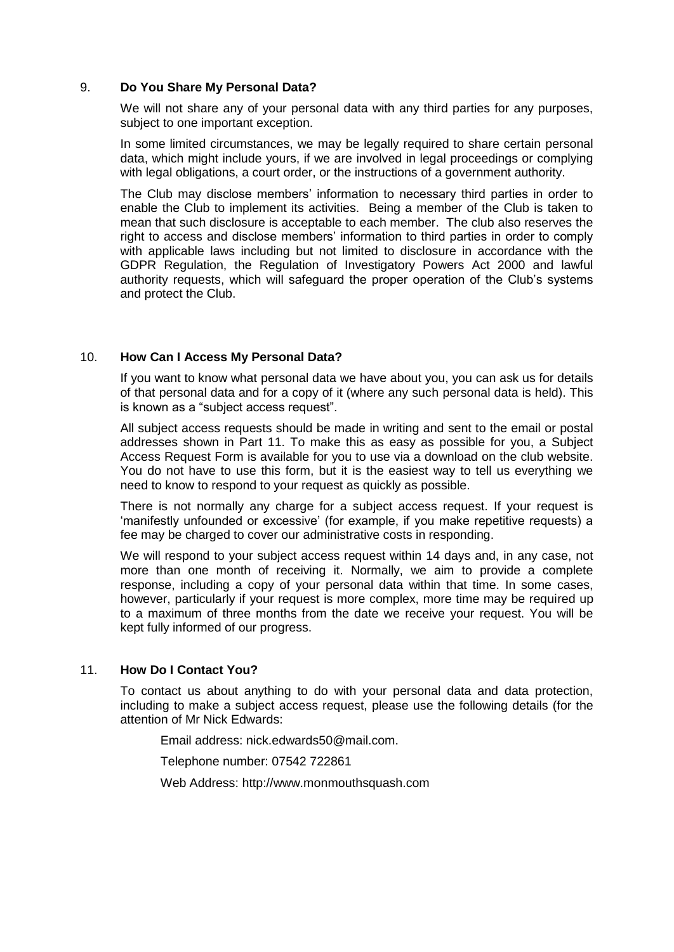### 9. **Do You Share My Personal Data?**

We will not share any of your personal data with any third parties for any purposes, subject to one important exception.

In some limited circumstances, we may be legally required to share certain personal data, which might include yours, if we are involved in legal proceedings or complying with legal obligations, a court order, or the instructions of a government authority.

The Club may disclose members' information to necessary third parties in order to enable the Club to implement its activities. Being a member of the Club is taken to mean that such disclosure is acceptable to each member. The club also reserves the right to access and disclose members' information to third parties in order to comply with applicable laws including but not limited to disclosure in accordance with the GDPR Regulation, the Regulation of Investigatory Powers Act 2000 and lawful authority requests, which will safeguard the proper operation of the Club's systems and protect the Club.

#### 10. **How Can I Access My Personal Data?**

If you want to know what personal data we have about you, you can ask us for details of that personal data and for a copy of it (where any such personal data is held). This is known as a "subject access request".

All subject access requests should be made in writing and sent to the email or postal addresses shown in Part 11. To make this as easy as possible for you, a Subject Access Request Form is available for you to use via a download on the club website. You do not have to use this form, but it is the easiest way to tell us everything we need to know to respond to your request as quickly as possible.

There is not normally any charge for a subject access request. If your request is 'manifestly unfounded or excessive' (for example, if you make repetitive requests) a fee may be charged to cover our administrative costs in responding.

We will respond to your subject access request within 14 days and, in any case, not more than one month of receiving it. Normally, we aim to provide a complete response, including a copy of your personal data within that time. In some cases, however, particularly if your request is more complex, more time may be required up to a maximum of three months from the date we receive your request. You will be kept fully informed of our progress.

## 11. **How Do I Contact You?**

To contact us about anything to do with your personal data and data protection, including to make a subject access request, please use the following details (for the attention of Mr Nick Edwards:

Email address: nick.edwards50@mail.com.

Telephone number: 07542 722861

Web Address: http://www.monmouthsquash.com